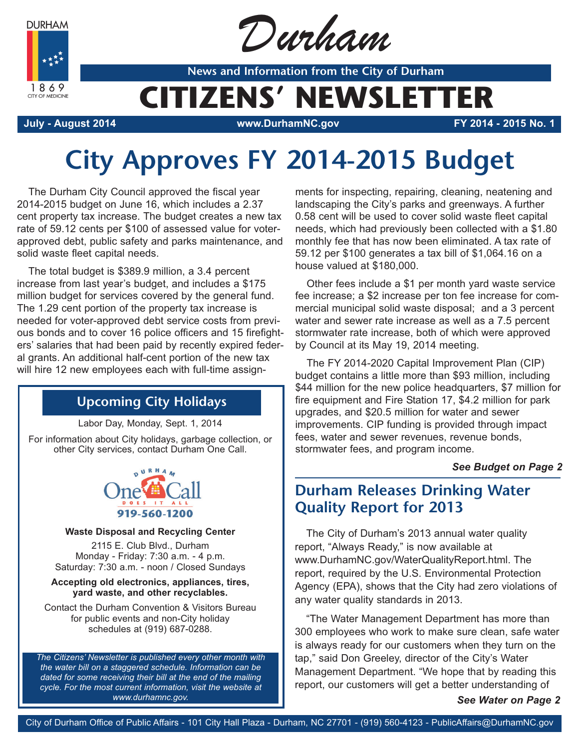**DURHAM** 



Durham

**News and Information from the City of Durham**

## **CITIZENS' NEWSLETTER**

**July - August 2014 www.DurhamNC.gov FY 2014 - 2015 No. 1**

# **City Approves FY 2014-2015 Budget**

The Durham City Council approved the fiscal year 2014-2015 budget on June 16, which includes a 2.37 cent property tax increase. The budget creates a new tax rate of 59.12 cents per \$100 of assessed value for voterapproved debt, public safety and parks maintenance, and solid waste fleet capital needs.

The total budget is \$389.9 million, a 3.4 percent increase from last year's budget, and includes a \$175 million budget for services covered by the general fund. The 1.29 cent portion of the property tax increase is needed for voter-approved debt service costs from previous bonds and to cover 16 police officers and 15 firefighters' salaries that had been paid by recently expired federal grants. An additional half-cent portion of the new tax will hire 12 new employees each with full-time assign-

### **Upcoming City Holidays**

Labor Day, Monday, Sept. 1, 2014

For information about City holidays, garbage collection, or other City services, contact Durham One Call.



#### **Waste Disposal and Recycling Center**

2115 E. Club Blvd., Durham Monday - Friday: 7:30 a.m. - 4 p.m. Saturday: 7:30 a.m. - noon / Closed Sundays

#### **Accepting old electronics, appliances, tires, yard waste, and other recyclables.**

Contact the Durham Convention & Visitors Bureau for public events and non-City holiday schedules at (919) 687-0288.

*The Citizens' Newsletter is published every other month with the water bill on a staggered schedule. Information can be dated for some receiving their bill at the end of the mailing cycle. For the most current information, visit the website at www.durhamnc.gov.*

ments for inspecting, repairing, cleaning, neatening and landscaping the City's parks and greenways. A further 0.58 cent will be used to cover solid waste fleet capital needs, which had previously been collected with a \$1.80 monthly fee that has now been eliminated. A tax rate of 59.12 per \$100 generates a tax bill of \$1,064.16 on a house valued at \$180,000.

Other fees include a \$1 per month yard waste service fee increase; a \$2 increase per ton fee increase for commercial municipal solid waste disposal; and a 3 percent water and sewer rate increase as well as a 7.5 percent stormwater rate increase, both of which were approved by Council at its May 19, 2014 meeting.

The FY 2014-2020 Capital Improvement Plan (CIP) budget contains a little more than \$93 million, including \$44 million for the new police headquarters, \$7 million for fire equipment and Fire Station 17, \$4.2 million for park upgrades, and \$20.5 million for water and sewer improvements. CIP funding is provided through impact fees, water and sewer revenues, revenue bonds, stormwater fees, and program income.

#### *See Budget on Page 2*

### **Durham Releases Drinking Water Quality Report for 2013**

The City of Durham's 2013 annual water quality report, "Always Ready," is now available at www.DurhamNC.gov/WaterQualityReport.html. The report, required by the U.S. Environmental Protection Agency (EPA), shows that the City had zero violations of any water quality standards in 2013.

"The Water Management Department has more than 300 employees who work to make sure clean, safe water is always ready for our customers when they turn on the tap," said Don Greeley, director of the City's Water Management Department. "We hope that by reading this report, our customers will get a better understanding of

*See Water on Page 2*